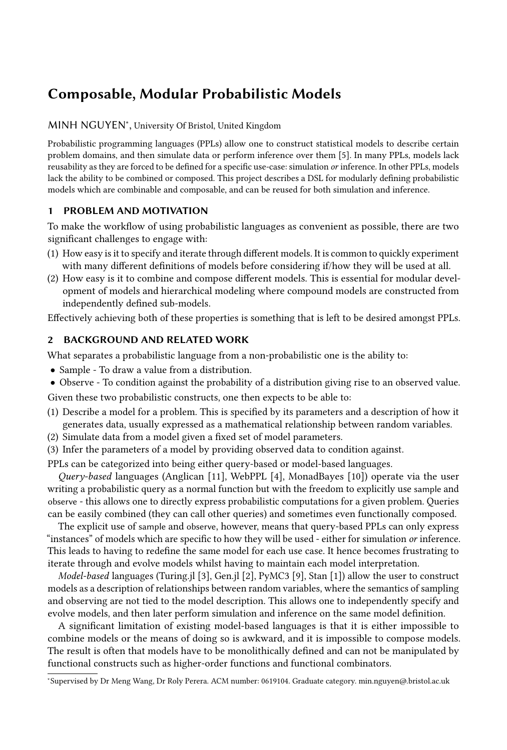# Composable, Modular Probabilistic Models

## [MINH NGUYEN](HTTPS://ORCID.ORG/0000-0003-3845-9928)<sup>∗</sup> , University Of Bristol, United Kingdom

Probabilistic programming languages (PPLs) allow one to construct statistical models to describe certain problem domains, and then simulate data or perform inference over them [\[5\]](#page-3-0). In many PPLs, models lack reusability as they are forced to be defined for a specific use-case: simulation or inference. In other PPLs, models lack the ability to be combined or composed. This project describes a DSL for modularly defining probabilistic models which are combinable and composable, and can be reused for both simulation and inference.

## 1 PROBLEM AND MOTIVATION

To make the workflow of using probabilistic languages as convenient as possible, there are two significant challenges to engage with:

- (1) How easy is it to specify and iterate through different models. It is common to quickly experiment with many different definitions of models before considering if/how they will be used at all.
- (2) How easy is it to combine and compose different models. This is essential for modular development of models and hierarchical modeling where compound models are constructed from independently defined sub-models.

Effectively achieving both of these properties is something that is left to be desired amongst PPLs.

## 2 BACKGROUND AND RELATED WORK

What separates a probabilistic language from a non-probabilistic one is the ability to:

- Sample To draw a value from a distribution.
- Observe To condition against the probability of a distribution giving rise to an observed value.

Given these two probabilistic constructs, one then expects to be able to:

- (1) Describe a model for a problem. This is specified by its parameters and a description of how it generates data, usually expressed as a mathematical relationship between random variables.
- (2) Simulate data from a model given a fixed set of model parameters.
- (3) Infer the parameters of a model by providing observed data to condition against.

PPLs can be categorized into being either query-based or model-based languages.

Query-based languages (Anglican [\[11\]](#page-3-1), WebPPL [\[4\]](#page-3-2), MonadBayes [\[10\]](#page-3-3)) operate via the user writing a probabilistic query as a normal function but with the freedom to explicitly use sample and observe - this allows one to directly express probabilistic computations for a given problem. Queries can be easily combined (they can call other queries) and sometimes even functionally composed.

The explicit use of sample and observe, however, means that query-based PPLs can only express "instances" of models which are specific to how they will be used - either for simulation or inference. This leads to having to redefine the same model for each use case. It hence becomes frustrating to iterate through and evolve models whilst having to maintain each model interpretation.

Model-based languages (Turing.jl [\[3\]](#page-3-4), Gen.jl [\[2\]](#page-3-5), PyMC3 [\[9\]](#page-3-6), Stan [\[1\]](#page-3-7)) allow the user to construct models as a description of relationships between random variables, where the semantics of sampling and observing are not tied to the model description. This allows one to independently specify and evolve models, and then later perform simulation and inference on the same model definition.

A significant limitation of existing model-based languages is that it is either impossible to combine models or the means of doing so is awkward, and it is impossible to compose models. The result is often that models have to be monolithically defined and can not be manipulated by functional constructs such as higher-order functions and functional combinators.

<sup>∗</sup>Supervised by Dr Meng Wang, Dr Roly Perera. ACM number: 0619104. Graduate category. min.nguyen@.bristol.ac.uk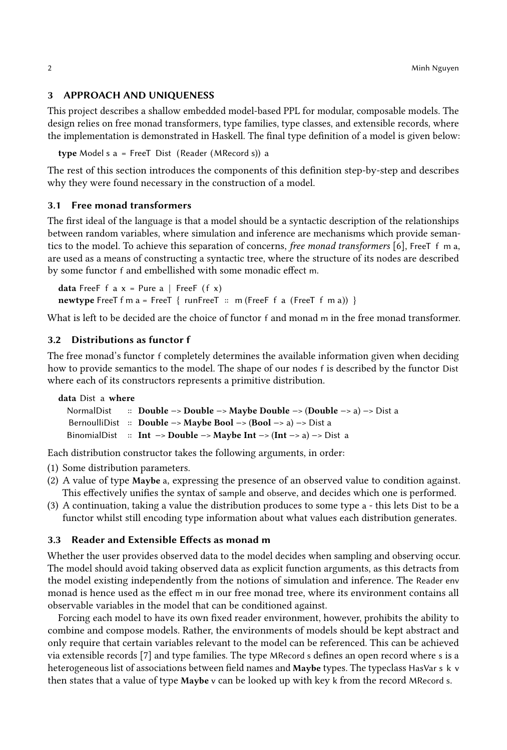#### 3 APPROACH AND UNIQUENESS

This project describes a shallow embedded model-based PPL for modular, composable models. The design relies on free monad transformers, type families, type classes, and extensible records, where the implementation is demonstrated in Haskell. The final type definition of a model is given below:

type Model s a = FreeT Dist (Reader (MRecord s)) a

The rest of this section introduces the components of this definition step-by-step and describes why they were found necessary in the construction of a model.

#### 3.1 Free monad transformers

The first ideal of the language is that a model should be a syntactic description of the relationships between random variables, where simulation and inference are mechanisms which provide semantics to the model. To achieve this separation of concerns, *free monad transformers* [\[6\]](#page-3-8), FreeT f m a, are used as a means of constructing a syntactic tree, where the structure of its nodes are described by some functor f and embellished with some monadic effect m.

**data** FreeF f a  $x =$  Pure a | FreeF (f  $x$ ) newtype FreeT f m a = FreeT { runFreeT  $\therefore$  m (FreeF f a (FreeT f m a)) }

What is left to be decided are the choice of functor f and monad m in the free monad transformer.

#### 3.2 Distributions as functor f

The free monad's functor f completely determines the available information given when deciding how to provide semantics to the model. The shape of our nodes f is described by the functor Dist where each of its constructors represents a primitive distribution.

```
data Dist a where
 NormalDist :: Double −> Double −> Maybe Double −> (Double −> a) −> Dist a
  BernoulliDist :: Double −> Maybe Bool −> (Bool −> a) −> Dist a
 BinomialDist :: Int −> Double −> Maybe Int −> (Int −> a) −> Dist a
```
Each distribution constructor takes the following arguments, in order:

- (1) Some distribution parameters.
- (2) A value of type Maybe a, expressing the presence of an observed value to condition against. This effectively unifies the syntax of sample and observe, and decides which one is performed.
- (3) A continuation, taking a value the distribution produces to some type a this lets Dist to be a functor whilst still encoding type information about what values each distribution generates.

#### 3.3 Reader and Extensible Effects as monad m

Whether the user provides observed data to the model decides when sampling and observing occur. The model should avoid taking observed data as explicit function arguments, as this detracts from the model existing independently from the notions of simulation and inference. The Reader env monad is hence used as the effect m in our free monad tree, where its environment contains all observable variables in the model that can be conditioned against.

Forcing each model to have its own fixed reader environment, however, prohibits the ability to combine and compose models. Rather, the environments of models should be kept abstract and only require that certain variables relevant to the model can be referenced. This can be achieved via extensible records [\[7\]](#page-3-9) and type families. The type MRecord s defines an open record where s is a heterogeneous list of associations between field names and Maybe types. The typeclass HasVar s k v then states that a value of type Maybe v can be looked up with key k from the record MRecord s.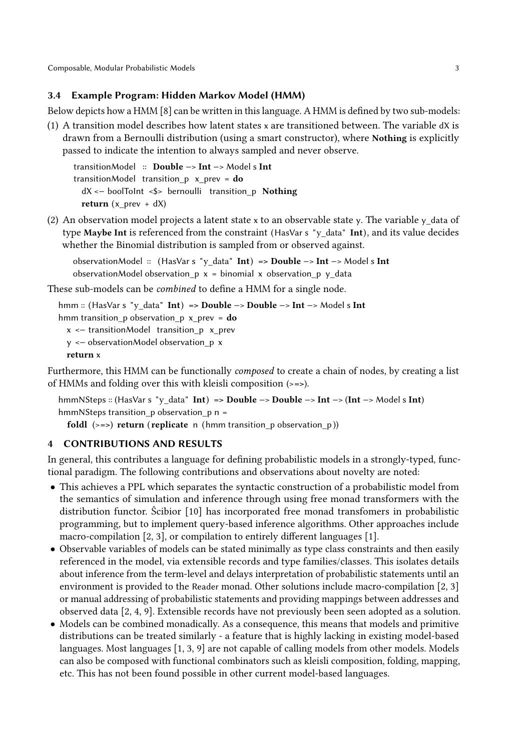Composable, Modular Probabilistic Models 3

## 3.4 Example Program: Hidden Markov Model (HMM)

Below depicts how a HMM [\[8\]](#page-3-10) can be written in this language. A HMM is defined by two sub-models:

(1) A transition model describes how latent states x are transitioned between. The variable dX is drawn from a Bernoulli distribution (using a smart constructor), where Nothing is explicitly passed to indicate the intention to always sampled and never observe.

transitionModel :: Double −> Int −> Model s Int transitionModel transition\_p  $x\_prev = do$ dX <− boolToInt <\$> bernoulli transition\_p Nothing return  $(x_{prev} + dX)$ 

(2) An observation model projects a latent state x to an observable state y. The variable y data of type Maybe Int is referenced from the constraint (HasVar s "y\_data" Int), and its value decides whether the Binomial distribution is sampled from or observed against.

observationModel :: (HasVar s "y\_data" Int) => Double −> Int −> Model s Int observationModel observation\_p  $x = binomial x$  observation\_p  $y$ \_data

These sub-models can be combined to define a HMM for a single node.

```
hmm :: (HasVar s "y_data" Int) => Double −> Double −> Int −> Model s Int
hmm transition_p observation_p x_prev = dox <− transitionModel transition_p x_prev
 y <− observationModel observation_p x
 return x
```
Furthermore, this HMM can be functionally composed to create a chain of nodes, by creating a list of HMMs and folding over this with kleisli composition (>=>).

hmmNSteps :: (HasVar s "y\_data" Int) => Double −> Double −> Int −> (Int −> Model s Int) hmmNSteps transition  $p$  observation  $p$  n =

foldl  $(\geq)=$ ) return (replicate n (hmm transition p observation p))

## 4 CONTRIBUTIONS AND RESULTS

In general, this contributes a language for defining probabilistic models in a strongly-typed, functional paradigm. The following contributions and observations about novelty are noted:

- This achieves a PPL which separates the syntactic construction of a probabilistic model from the semantics of simulation and inference through using free monad transformers with the distribution functor. Ścibior [\[10\]](#page-3-3) has incorporated free monad transfomers in probabilistic programming, but to implement query-based inference algorithms. Other approaches include macro-compilation [\[2,](#page-3-5) [3\]](#page-3-4), or compilation to entirely different languages [\[1\]](#page-3-7).
- Observable variables of models can be stated minimally as type class constraints and then easily referenced in the model, via extensible records and type families/classes. This isolates details about inference from the term-level and delays interpretation of probabilistic statements until an environment is provided to the Reader monad. Other solutions include macro-compilation [\[2,](#page-3-5) [3\]](#page-3-4) or manual addressing of probabilistic statements and providing mappings between addresses and observed data [\[2,](#page-3-5) [4,](#page-3-2) [9\]](#page-3-6). Extensible records have not previously been seen adopted as a solution.
- Models can be combined monadically. As a consequence, this means that models and primitive distributions can be treated similarly - a feature that is highly lacking in existing model-based languages. Most languages [\[1,](#page-3-7) [3,](#page-3-4) [9\]](#page-3-6) are not capable of calling models from other models. Models can also be composed with functional combinators such as kleisli composition, folding, mapping, etc. This has not been found possible in other current model-based languages.